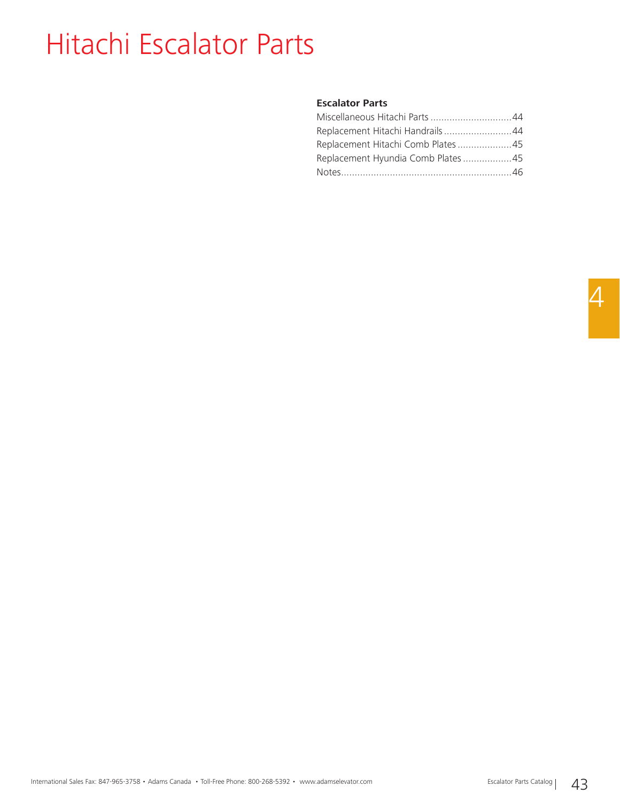# Hitachi Escalator Parts

#### **Escalator Parts**

| Miscellaneous Hitachi Parts 44     |  |
|------------------------------------|--|
| Replacement Hitachi Handrails44    |  |
| Replacement Hitachi Comb Plates 45 |  |
| Replacement Hyundia Comb Plates45  |  |
|                                    |  |
|                                    |  |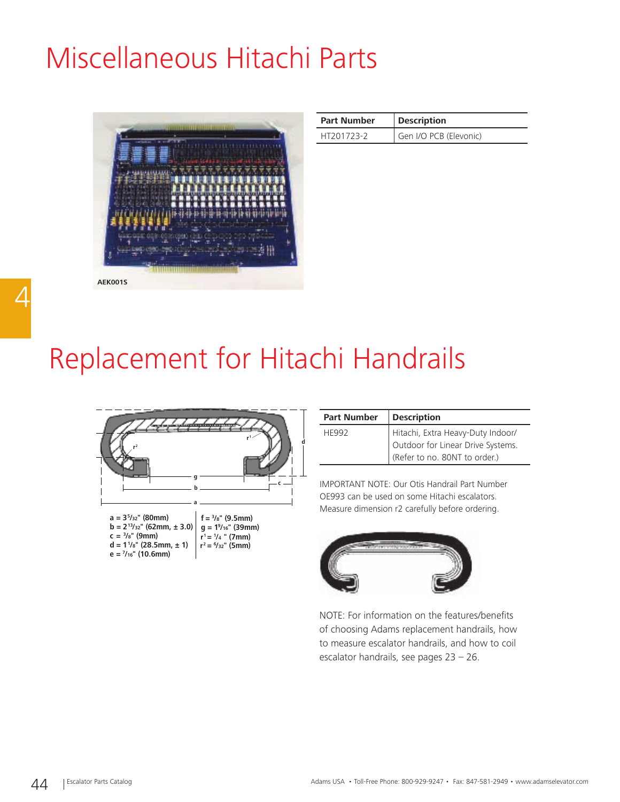# Miscellaneous Hitachi Parts



| <b>Part Number</b> | <b>Description</b>     |
|--------------------|------------------------|
| HT201723-2         | Gen I/O PCB (Elevonic) |

# Replacement for Hitachi Handrails



| <b>Part Number</b> | <b>Description</b>                                                                                      |
|--------------------|---------------------------------------------------------------------------------------------------------|
| <b>HF992</b>       | Hitachi, Extra Heavy-Duty Indoor/<br>Outdoor for Linear Drive Systems.<br>(Refer to no. 80NT to order.) |
|                    |                                                                                                         |

IMPORTANT NOTE: Our Otis Handrail Part Number OE993 can be used on some Hitachi escalators. Measure dimension r2 carefully before ordering.



NOTE: For information on the features/benefits of choosing Adams replacement handrails, how to measure escalator handrails, and how to coil escalator handrails, see pages 23 – 26.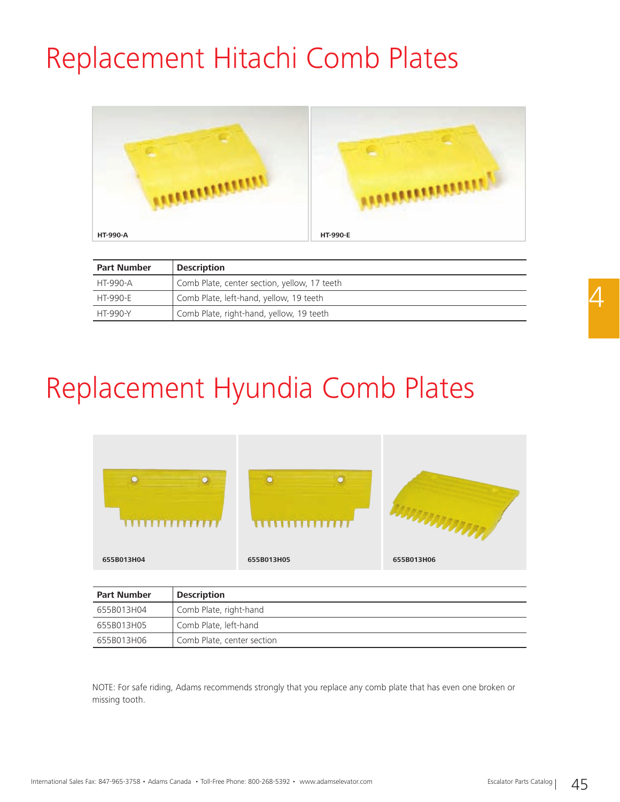# Replacement Hitachi Comb Plates



| <b>Part Number</b> | <b>Description</b>                           |
|--------------------|----------------------------------------------|
| HT-990-A           | Comb Plate, center section, yellow, 17 teeth |
| HT-990-F           | Comb Plate, left-hand, yellow, 19 teeth      |
| HT-990-Y           | Comb Plate, right-hand, yellow, 19 teeth     |

# Replacement Hyundia Comb Plates



| <b>Part Number</b> | <b>Description</b>         |
|--------------------|----------------------------|
| 655B013H04         | Comb Plate, right-hand     |
| 655B013H05         | Comb Plate, left-hand      |
| 655B013H06         | Comb Plate, center section |

NOTE: For safe riding, Adams recommends strongly that you replace any comb plate that has even one broken or missing tooth.